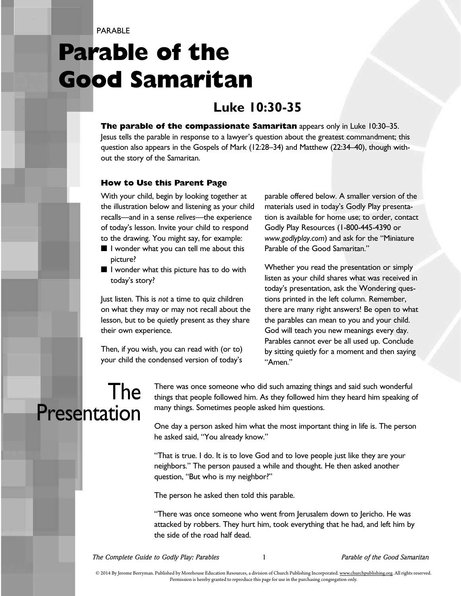PARABI<sub>F</sub>

# **Parable of the Good Samaritan**

#### **Luke 10:30-35**

**The parable of the compassionate Samaritan** appears only in Luke 10:30–35. Jesus tells the parable in response to a lawyer's question about the greatest commandment; this question also appears in the Gospels of Mark (12:28–34) and Matthew (22:34–40), though without the story of the Samaritan.

#### **How to Use this Parent Page**

With your child, begin by looking together at the illustration below and listening as your child recalls—and in a sense *relives*—the experience of today's lesson. Invite your child to respond to the drawing. You might say, for example:

- I wonder what you can tell me about this picture?
- I wonder what this picture has to do with today's story?

Just listen. This is *not* a time to quiz children on what they may or may not recall about the lesson, but to be quietly present as they share their own experience.

Then, if you wish, you can read with (or to) your child the condensed version of today's

parable offered below. A smaller version of the materials used in today's Godly Play presentation is available for home use; to order, contact Godly Play Resources (1-800-445-4390 or *www.godlyplay.com*) and ask for the "Miniature Parable of the Good Samaritan."

Whether you read the presentation or simply listen as your child shares what was received in today's presentation, ask the Wondering questions printed in the left column. Remember, there are many right answers! Be open to what the parables can mean to you and your child. God will teach you new meanings every day. Parables cannot ever be all used up. Conclude by sitting quietly for a moment and then saying "Amen."

### The Presentation

There was once someone who did such amazing things and said such wonderful things that people followed him. As they followed him they heard him speaking of many things. Sometimes people asked him questions.

One day a person asked him what the most important thing in life is. The person he asked said, "You already know."

"That is true. I do. It is to love God and to love people just like they are your neighbors." The person paused a while and thought. He then asked another question, "But who is my neighbor?"

The person he asked then told this parable.

"There was once someone who went from Jerusalem down to Jericho. He was attacked by robbers. They hurt him, took everything that he had, and left him by the side of the road half dead.

*The Complete Guide to Godly Play: Parables* 1 *Parable of the Good Samaritan*